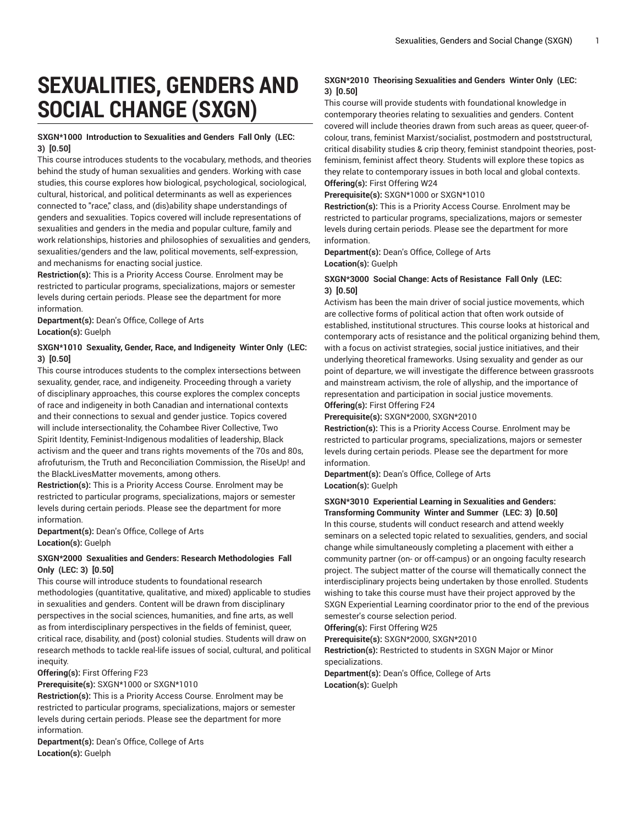# **SEXUALITIES, GENDERS AND SOCIAL CHANGE (SXGN)**

## **SXGN\*1000 Introduction to Sexualities and Genders Fall Only (LEC: 3) [0.50]**

This course introduces students to the vocabulary, methods, and theories behind the study of human sexualities and genders. Working with case studies, this course explores how biological, psychological, sociological, cultural, historical, and political determinants as well as experiences connected to "race," class, and (dis)ability shape understandings of genders and sexualities. Topics covered will include representations of sexualities and genders in the media and popular culture, family and work relationships, histories and philosophies of sexualities and genders, sexualities/genders and the law, political movements, self-expression, and mechanisms for enacting social justice.

**Restriction(s):** This is a Priority Access Course. Enrolment may be restricted to particular programs, specializations, majors or semester levels during certain periods. Please see the department for more information.

**Department(s):** Dean's Office, College of Arts **Location(s):** Guelph

## **SXGN\*1010 Sexuality, Gender, Race, and Indigeneity Winter Only (LEC: 3) [0.50]**

This course introduces students to the complex intersections between sexuality, gender, race, and indigeneity. Proceeding through a variety of disciplinary approaches, this course explores the complex concepts of race and indigeneity in both Canadian and international contexts and their connections to sexual and gender justice. Topics covered will include intersectionality, the Cohambee River Collective, Two Spirit Identity, Feminist-Indigenous modalities of leadership, Black activism and the queer and trans rights movements of the 70s and 80s, afrofuturism, the Truth and Reconciliation Commission, the RiseUp! and the BlackLivesMatter movements, among others.

**Restriction(s):** This is a Priority Access Course. Enrolment may be restricted to particular programs, specializations, majors or semester levels during certain periods. Please see the department for more information.

**Department(s):** Dean's Office, College of Arts **Location(s):** Guelph

#### **SXGN\*2000 Sexualities and Genders: Research Methodologies Fall Only (LEC: 3) [0.50]**

This course will introduce students to foundational research methodologies (quantitative, qualitative, and mixed) applicable to studies in sexualities and genders. Content will be drawn from disciplinary perspectives in the social sciences, humanities, and fine arts, as well as from interdisciplinary perspectives in the fields of feminist, queer, critical race, disability, and (post) colonial studies. Students will draw on research methods to tackle real-life issues of social, cultural, and political inequity.

**Offering(s):** First Offering F23

**Prerequisite(s):** SXGN\*1000 or SXGN\*1010

**Restriction(s):** This is a Priority Access Course. Enrolment may be restricted to particular programs, specializations, majors or semester levels during certain periods. Please see the department for more information.

**Department(s):** Dean's Office, College of Arts **Location(s):** Guelph

# **SXGN\*2010 Theorising Sexualities and Genders Winter Only (LEC: 3) [0.50]**

This course will provide students with foundational knowledge in contemporary theories relating to sexualities and genders. Content covered will include theories drawn from such areas as queer, queer-ofcolour, trans, feminist Marxist/socialist, postmodern and poststructural, critical disability studies & crip theory, feminist standpoint theories, postfeminism, feminist affect theory. Students will explore these topics as they relate to contemporary issues in both local and global contexts. **Offering(s):** First Offering W24

**Prerequisite(s):** SXGN\*1000 or SXGN\*1010

**Restriction(s):** This is a Priority Access Course. Enrolment may be restricted to particular programs, specializations, majors or semester levels during certain periods. Please see the department for more information.

**Department(s):** Dean's Office, College of Arts **Location(s):** Guelph

## **SXGN\*3000 Social Change: Acts of Resistance Fall Only (LEC: 3) [0.50]**

Activism has been the main driver of social justice movements, which are collective forms of political action that often work outside of established, institutional structures. This course looks at historical and contemporary acts of resistance and the political organizing behind them, with a focus on activist strategies, social justice initiatives, and their underlying theoretical frameworks. Using sexuality and gender as our point of departure, we will investigate the difference between grassroots and mainstream activism, the role of allyship, and the importance of representation and participation in social justice movements. **Offering(s):** First Offering F24

**Prerequisite(s):** SXGN\*2000, SXGN\*2010

**Restriction(s):** This is a Priority Access Course. Enrolment may be restricted to particular programs, specializations, majors or semester levels during certain periods. Please see the department for more information.

**Department(s):** Dean's Office, College of Arts **Location(s):** Guelph

#### **SXGN\*3010 Experiential Learning in Sexualities and Genders: Transforming Community Winter and Summer (LEC: 3) [0.50]**

In this course, students will conduct research and attend weekly seminars on a selected topic related to sexualities, genders, and social change while simultaneously completing a placement with either a community partner (on- or off-campus) or an ongoing faculty research project. The subject matter of the course will thematically connect the interdisciplinary projects being undertaken by those enrolled. Students wishing to take this course must have their project approved by the SXGN Experiential Learning coordinator prior to the end of the previous semester's course selection period.

**Offering(s):** First Offering W25

**Prerequisite(s):** SXGN\*2000, SXGN\*2010

**Restriction(s):** Restricted to students in SXGN Major or Minor specializations.

**Department(s):** Dean's Office, College of Arts **Location(s):** Guelph